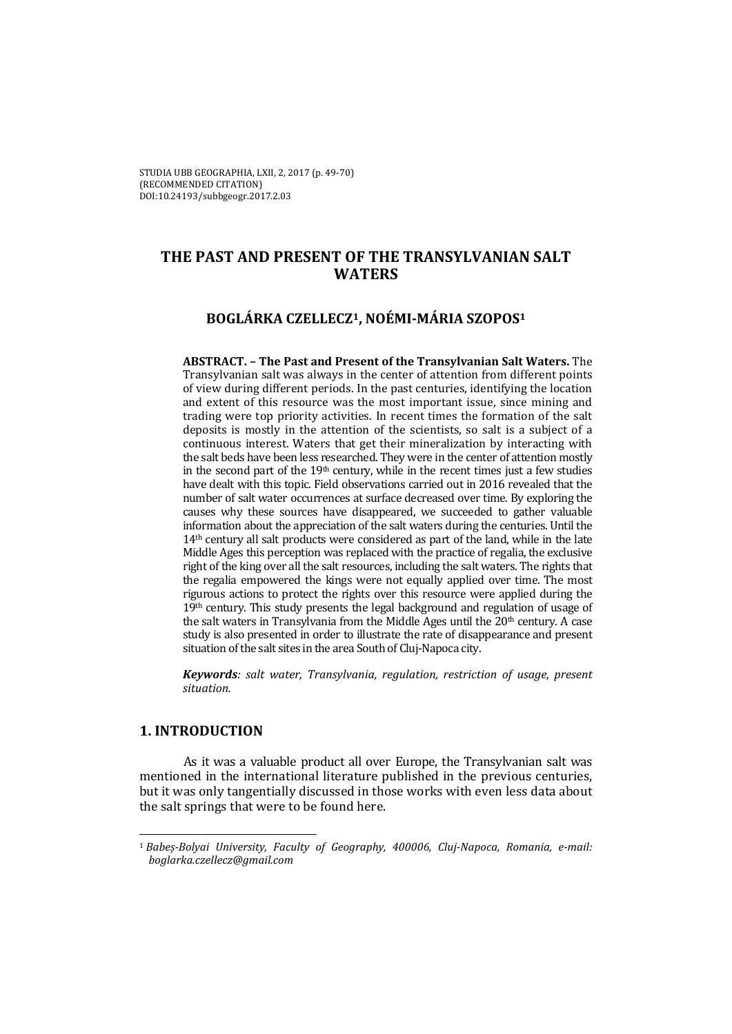# **THE PAST AND PRESENT OF THE TRANSYLVANIAN SALT WATERS**

# **BOGLÁRKA CZELLECZ1, NOÉMI‐MÁRIA SZOPOS1**

**ABSTRACT. – The Past and Present of the Transylvanian Salt Waters.** The Transylvanian salt was always in the center of attention from different points of view during different periods. In the past centuries, identifying the location and extent of this resource was the most important issue, since mining and trading were top priority activities. In recent times the formation of the salt deposits is mostly in the attention of the scientists, so salt is a subject of a continuous interest. Waters that get their mineralization by interacting with the salt beds have been less researched. They were in the center of attention mostly in the second part of the  $19<sup>th</sup>$  century, while in the recent times just a few studies have dealt with this topic. Field observations carried out in 2016 revealed that the number of salt water occurrences at surface decreased over time. By exploring the causes why these sources have disappeared, we succeeded to gather valuable information about the appreciation of the salt waters during the centuries. Until the  $14<sup>th</sup>$  century all salt products were considered as part of the land, while in the late Middle Ages this perception was replaced with the practice of regalia, the exclusive right of the king over all the salt resources, including the salt waters. The rights that the regalia empowered the kings were not equally applied over time. The most rigurous actions to protect the rights over this resource were applied during the  $19<sup>th</sup>$  century. This study presents the legal background and regulation of usage of the salt waters in Transylvania from the Middle Ages until the  $20<sup>th</sup>$  century. A case study is also presented in order to illustrate the rate of disappearance and present situation of the salt sites in the area South of Cluj-Napoca city.

*Keywords: salt water, Transylvania, regulation, restriction of usage, present situation.*

# **1. INTRODUCTION**

As it was a valuable product all over Europe, the Transylvanian salt was mentioned in the international literature published in the previous centuries, but it was only tangentially discussed in those works with even less data about the salt springs that were to be found here.

<sup>&</sup>lt;u> 1989 - Johann Stein, marwolaethau a bh</u> <sup>1</sup> *Babeș‐Bolyai University, Faculty of Geography, 400006, Cluj‐Napoca, Romania, e‐mail: boglarka.czellecz@gmail.com*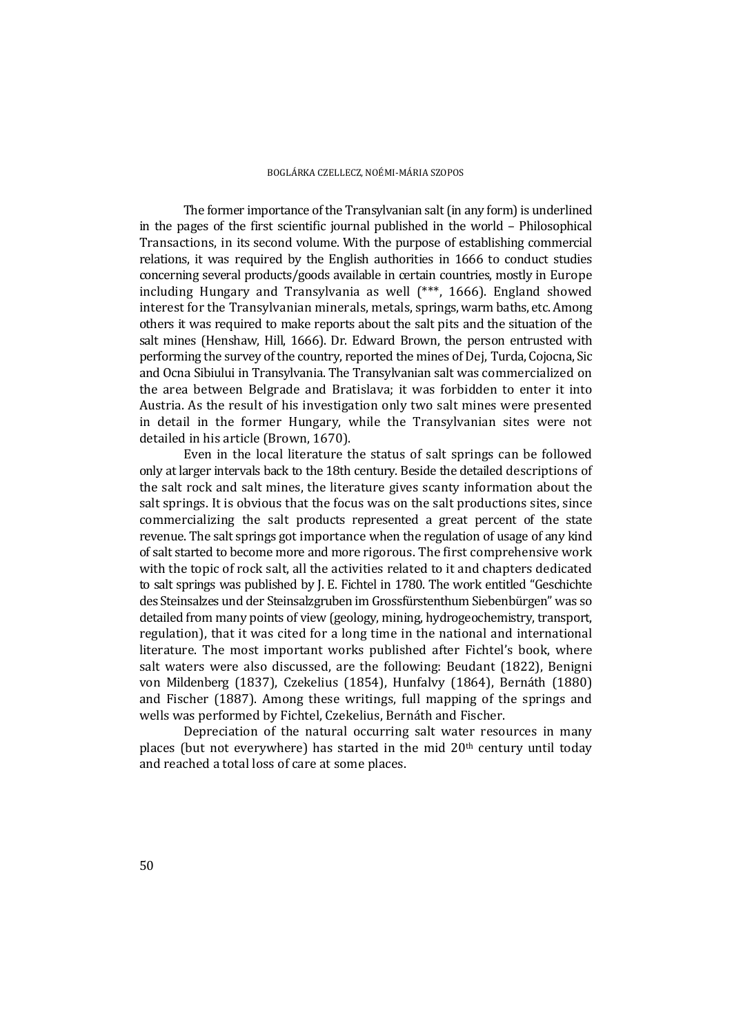The former importance of the Transylvanian salt (in any form) is underlined in the pages of the first scientific journal published in the world  $-$  Philosophical Transactions, in its second volume. With the purpose of establishing commercial relations, it was required by the English authorities in 1666 to conduct studies concerning several products/goods available in certain countries, mostly in Europe including Hungary and Transylvania as well (\*\*\*, 1666). England showed interest for the Transylvanian minerals, metals, springs, warm baths, etc. Among others it was required to make reports about the salt pits and the situation of the salt mines (Henshaw, Hill, 1666). Dr. Edward Brown, the person entrusted with performing the survey of the country, reported the mines of Dej, Turda, Cojocna, Sic and Ocna Sibiului in Transylvania. The Transylvanian salt was commercialized on the area between Belgrade and Bratislava; it was forbidden to enter it into Austria. As the result of his investigation only two salt mines were presented in detail in the former Hungary, while the Transylvanian sites were not detailed in his article (Brown, 1670).

Even in the local literature the status of salt springs can be followed only at larger intervals back to the 18th century. Beside the detailed descriptions of the salt rock and salt mines, the literature gives scanty information about the salt springs. It is obvious that the focus was on the salt productions sites, since commercializing the salt products represented a great percent of the state revenue. The salt springs got importance when the regulation of usage of any kind of salt started to become more and more rigorous. The first comprehensive work with the topic of rock salt, all the activities related to it and chapters dedicated to salt springs was published by J. E. Fichtel in 1780. The work entitled "Geschichte" des Steinsalzes und der Steinsalzgruben im Grossfürstenthum Siebenbürgen" was so detailed from many points of view (geology, mining, hydrogeochemistry, transport, regulation), that it was cited for a long time in the national and international literature. The most important works published after Fichtel's book, where salt waters were also discussed, are the following: Beudant  $(1822)$ , Benigni von Mildenberg (1837), Czekelius (1854), Hunfalvy (1864), Bernáth (1880) and Fischer (1887). Among these writings, full mapping of the springs and wells was performed by Fichtel, Czekelius, Bernáth and Fischer.

Depreciation of the natural occurring salt water resources in many places (but not everywhere) has started in the mid  $20<sup>th</sup>$  century until today and reached a total loss of care at some places.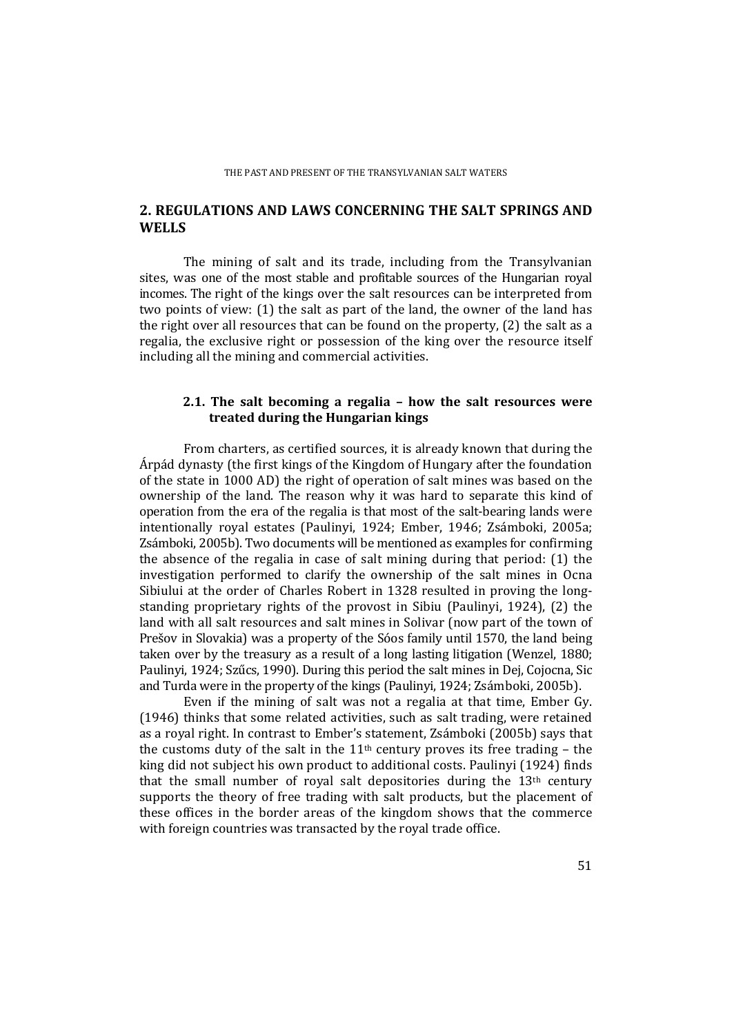# **2. REGULATIONS AND LAWS CONCERNING THE SALT SPRINGS AND WELLS**

The mining of salt and its trade, including from the Transylvanian sites, was one of the most stable and profitable sources of the Hungarian royal incomes. The right of the kings over the salt resources can be interpreted from two points of view:  $(1)$  the salt as part of the land, the owner of the land has the right over all resources that can be found on the property,  $(2)$  the salt as a regalia, the exclusive right or possession of the king over the resource itself including all the mining and commercial activities.

### **2.1. The salt becoming a regalia – how the salt resources were treated during the Hungarian kings**

From charters, as certified sources, it is already known that during the Árpád dynasty (the first kings of the Kingdom of Hungary after the foundation of the state in 1000 AD) the right of operation of salt mines was based on the ownership of the land. The reason why it was hard to separate this kind of operation from the era of the regalia is that most of the salt-bearing lands were intentionally royal estates (Paulinyi, 1924; Ember, 1946; Zsámboki, 2005a; Zsámboki, 2005b). Two documents will be mentioned as examples for confirming the absence of the regalia in case of salt mining during that period:  $(1)$  the investigation performed to clarify the ownership of the salt mines in Ocna Sibiului at the order of Charles Robert in 1328 resulted in proving the longstanding proprietary rights of the provost in Sibiu (Paulinyi, 1924),  $(2)$  the land with all salt resources and salt mines in Solivar (now part of the town of Prešov in Slovakia) was a property of the Sóos family until 1570, the land being taken over by the treasury as a result of a long lasting litigation (Wenzel,  $1880$ ; Paulinyi, 1924; Szűcs, 1990). During this period the salt mines in Dej, Cojocna, Sic and Turda were in the property of the kings (Paulinyi, 1924; Zsámboki, 2005b).

Even if the mining of salt was not a regalia at that time, Ember Gy.  $(1946)$  thinks that some related activities, such as salt trading, were retained as a royal right. In contrast to Ember's statement, Zsámboki (2005b) says that the customs duty of the salt in the  $11<sup>th</sup>$  century proves its free trading – the king did not subject his own product to additional costs. Paulinyi (1924) finds that the small number of royal salt depositories during the  $13<sup>th</sup>$  century supports the theory of free trading with salt products, but the placement of these offices in the border areas of the kingdom shows that the commerce with foreign countries was transacted by the royal trade office.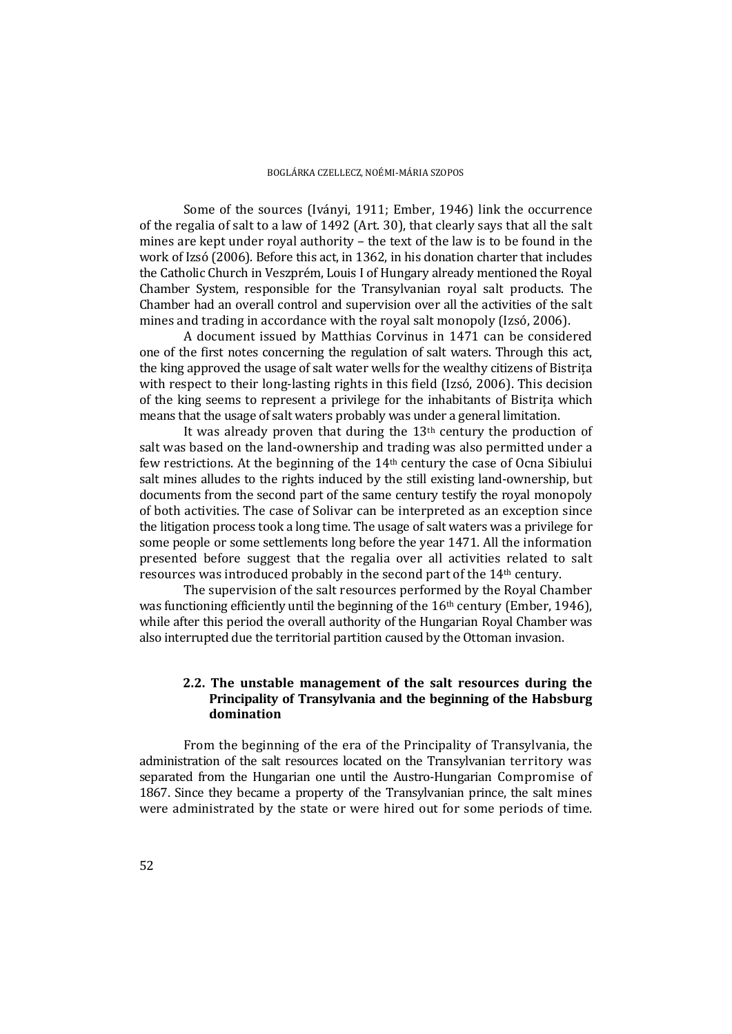Some of the sources (Iványi, 1911; Ember, 1946) link the occurrence of the regalia of salt to a law of  $1492$  (Art. 30), that clearly says that all the salt mines are kept under royal authority  $-$  the text of the law is to be found in the work of Izsó (2006). Before this act, in 1362, in his donation charter that includes the Catholic Church in Veszprém, Louis I of Hungary already mentioned the Royal Chamber System, responsible for the Transylvanian royal salt products. The Chamber had an overall control and supervision over all the activities of the salt mines and trading in accordance with the royal salt monopoly (Izsó, 2006).

A document issued by Matthias Corvinus in 1471 can be considered one of the first notes concerning the regulation of salt waters. Through this act, the king approved the usage of salt water wells for the wealthy citizens of Bistrita with respect to their long-lasting rights in this field  $(Izsó, 2006)$ . This decision of the king seems to represent a privilege for the inhabitants of Bistrita which means that the usage of salt waters probably was under a general limitation.

It was already proven that during the  $13<sup>th</sup>$  century the production of salt was based on the land-ownership and trading was also permitted under a few restrictions. At the beginning of the  $14<sup>th</sup>$  century the case of Ocna Sibiului salt mines alludes to the rights induced by the still existing land-ownership, but documents from the second part of the same century testify the royal monopoly of both activities. The case of Solivar can be interpreted as an exception since the litigation process took a long time. The usage of salt waters was a privilege for some people or some settlements long before the year 1471. All the information presented before suggest that the regalia over all activities related to salt resources was introduced probably in the second part of the 14<sup>th</sup> century.

The supervision of the salt resources performed by the Royal Chamber was functioning efficiently until the beginning of the  $16<sup>th</sup>$  century (Ember, 1946), while after this period the overall authority of the Hungarian Royal Chamber was also interrupted due the territorial partition caused by the Ottoman invasion.

### **2.2. The unstable management of the salt resources during the Principality of Transylvania and the beginning of the Habsburg domination**

From the beginning of the era of the Principality of Transylvania, the administration of the salt resources located on the Transylvanian territory was separated from the Hungarian one until the Austro-Hungarian Compromise of 1867. Since they became a property of the Transylvanian prince, the salt mines were administrated by the state or were hired out for some periods of time.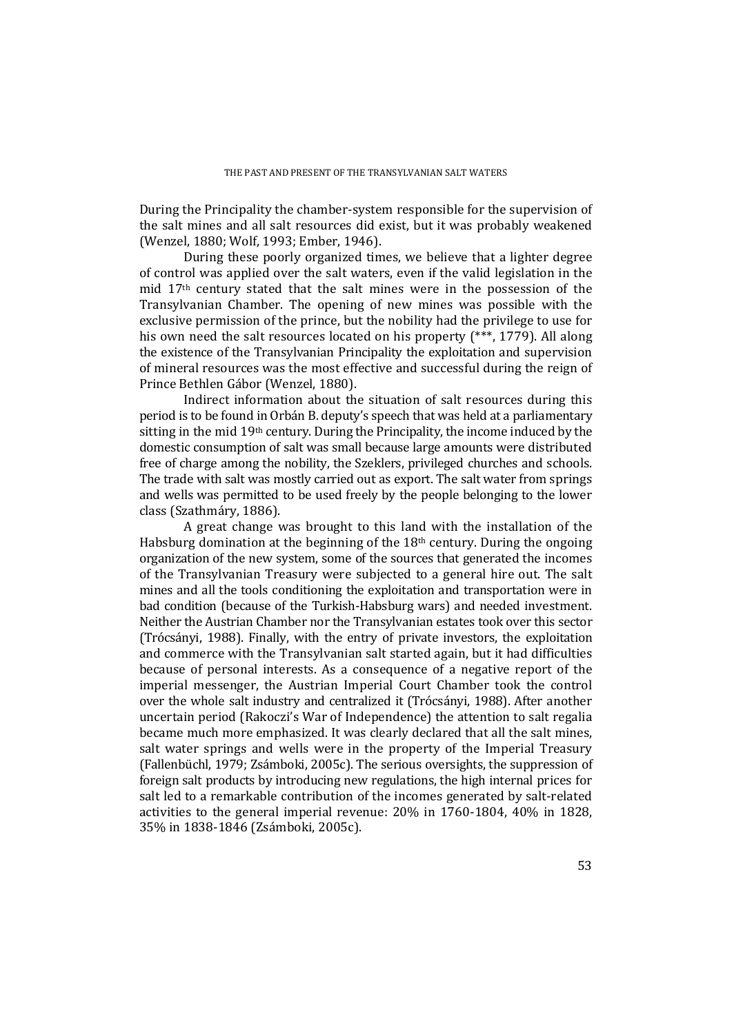During the Principality the chamber-system responsible for the supervision of the salt mines and all salt resources did exist, but it was probably weakened (Wenzel, 1880; Wolf, 1993; Ember, 1946).

During these poorly organized times, we believe that a lighter degree of control was applied over the salt waters, even if the valid legislation in the mid  $17<sup>th</sup>$  century stated that the salt mines were in the possession of the Transylvanian Chamber. The opening of new mines was possible with the exclusive permission of the prince, but the nobility had the privilege to use for his own need the salt resources located on his property  $(***$ , 1779). All along the existence of the Transylvanian Principality the exploitation and supervision of mineral resources was the most effective and successful during the reign of Prince Bethlen Gábor (Wenzel, 1880).

Indirect information about the situation of salt resources during this period is to be found in Orbán B. deputy's speech that was held at a parliamentary sitting in the mid  $19<sup>th</sup>$  century. During the Principality, the income induced by the domestic consumption of salt was small because large amounts were distributed free of charge among the nobility, the Szeklers, privileged churches and schools. The trade with salt was mostly carried out as export. The salt water from springs and wells was permitted to be used freely by the people belonging to the lower class (Szathmáry, 1886).

A great change was brought to this land with the installation of the Habsburg domination at the beginning of the  $18<sup>th</sup>$  century. During the ongoing organization of the new system, some of the sources that generated the incomes of the Transylvanian Treasury were subjected to a general hire out. The salt mines and all the tools conditioning the exploitation and transportation were in bad condition (because of the Turkish-Habsburg wars) and needed investment. Neither the Austrian Chamber nor the Transylvanian estates took over this sector (Trócsányi, 1988). Finally, with the entry of private investors, the exploitation and commerce with the Transylvanian salt started again, but it had difficulties because of personal interests. As a consequence of a negative report of the imperial messenger, the Austrian Imperial Court Chamber took the control over the whole salt industry and centralized it (Trócsányi, 1988). After another uncertain period (Rakoczi's War of Independence) the attention to salt regalia became much more emphasized. It was clearly declared that all the salt mines, salt water springs and wells were in the property of the Imperial Treasury (Fallenbüchl, 1979; Zsámboki, 2005c). The serious oversights, the suppression of foreign salt products by introducing new regulations, the high internal prices for salt led to a remarkable contribution of the incomes generated by salt-related activities to the general imperial revenue:  $20\%$  in  $1760-1804$ ,  $40\%$  in 1828, 35% in 1838-1846 (Zsámboki, 2005c).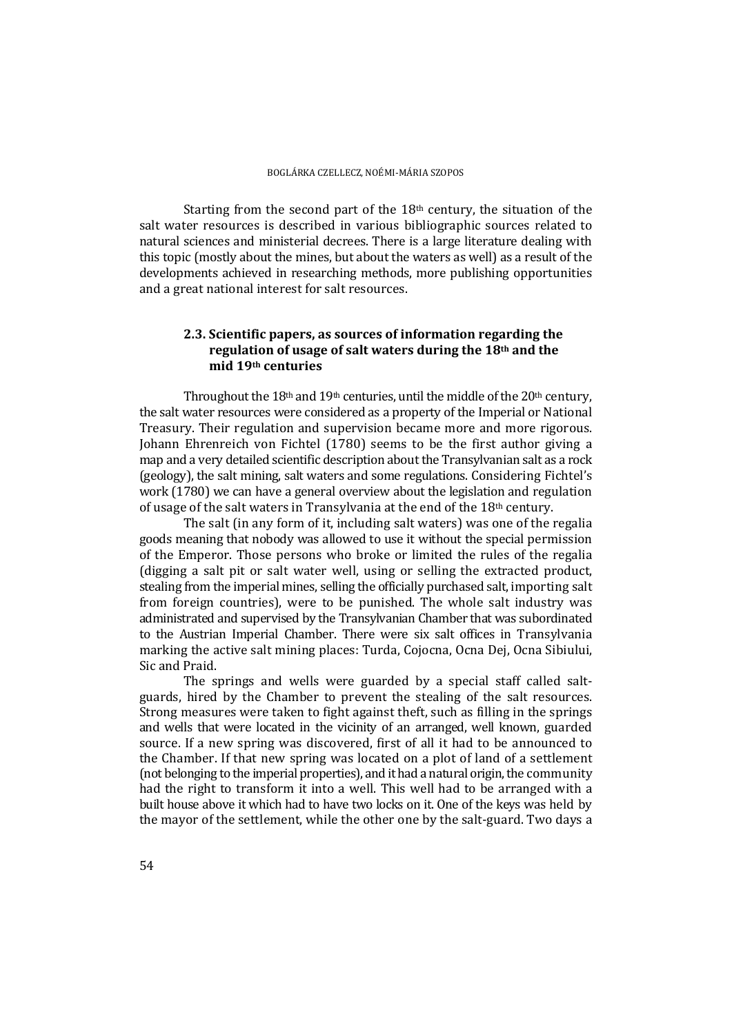Starting from the second part of the  $18<sup>th</sup>$  century, the situation of the salt water resources is described in various bibliographic sources related to natural sciences and ministerial decrees. There is a large literature dealing with this topic (mostly about the mines, but about the waters as well) as a result of the developments achieved in researching methods, more publishing opportunities and a great national interest for salt resources.

## **2.3. Scientific papers, as sources of information regarding the regulation** of **usage** of salt waters during the 18<sup>th</sup> and the **mid 19th centuries**

Throughout the  $18<sup>th</sup>$  and  $19<sup>th</sup>$  centuries, until the middle of the  $20<sup>th</sup>$  century, the salt water resources were considered as a property of the Imperial or National Treasury. Their regulation and supervision became more and more rigorous. Johann Ehrenreich von Fichtel (1780) seems to be the first author giving a map and a very detailed scientific description about the Transylvanian salt as a rock (geology), the salt mining, salt waters and some regulations. Considering Fichtel's work (1780) we can have a general overview about the legislation and regulation of usage of the salt waters in Transylvania at the end of the  $18<sup>th</sup>$  century.

The salt (in any form of it, including salt waters) was one of the regalia goods meaning that nobody was allowed to use it without the special permission of the Emperor. Those persons who broke or limited the rules of the regalia (digging a salt pit or salt water well, using or selling the extracted product, stealing from the imperial mines, selling the officially purchased salt, importing salt from foreign countries), were to be punished. The whole salt industry was administrated and supervised by the Transylvanian Chamber that was subordinated to the Austrian Imperial Chamber. There were six salt offices in Transylvania marking the active salt mining places: Turda, Cojocna, Ocna Dej, Ocna Sibiului, Sic and Praid.

The springs and wells were guarded by a special staff called saltguards, hired by the Chamber to prevent the stealing of the salt resources. Strong measures were taken to fight against theft, such as filling in the springs and wells that were located in the vicinity of an arranged, well known, guarded source. If a new spring was discovered, first of all it had to be announced to the Chamber. If that new spring was located on a plot of land of a settlement (not belonging to the imperial properties), and it had a natural origin, the community had the right to transform it into a well. This well had to be arranged with a built house above it which had to have two locks on it. One of the keys was held by the mayor of the settlement, while the other one by the salt-guard. Two days a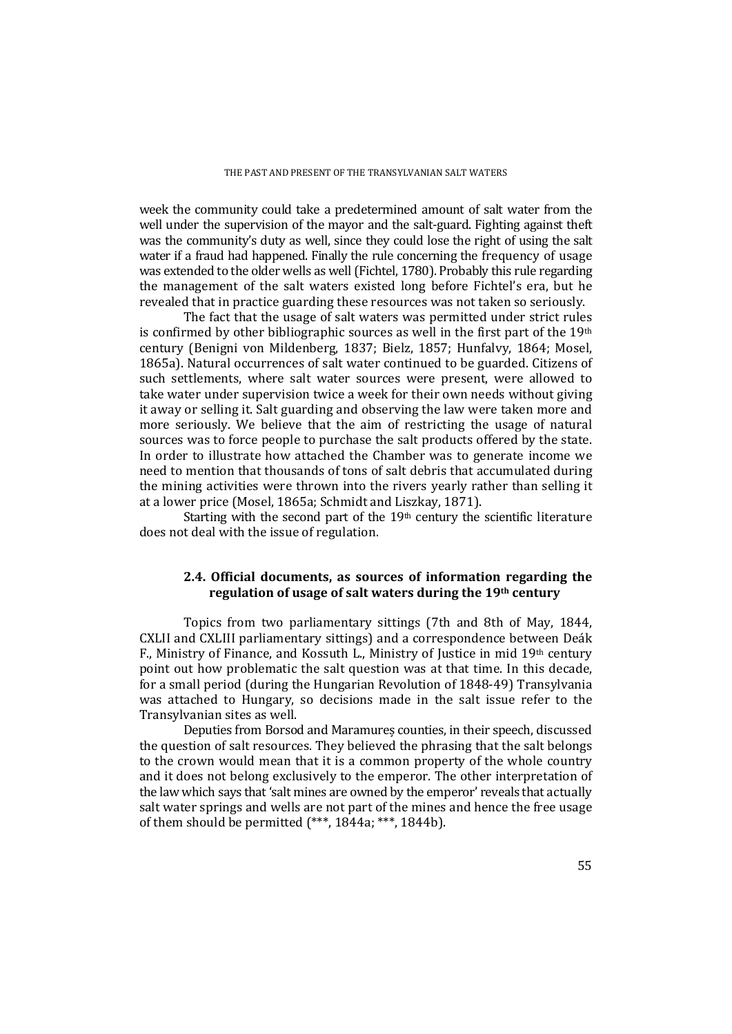week the community could take a predetermined amount of salt water from the well under the supervision of the mayor and the salt-guard. Fighting against theft was the community's duty as well, since they could lose the right of using the salt water if a fraud had happened. Finally the rule concerning the frequency of usage was extended to the older wells as well (Fichtel, 1780). Probably this rule regarding the management of the salt waters existed long before Fichtel's era, but he revealed that in practice guarding these resources was not taken so seriously.

The fact that the usage of salt waters was permitted under strict rules is confirmed by other bibliographic sources as well in the first part of the  $19<sup>th</sup>$ century (Benigni von Mildenberg, 1837; Bielz, 1857; Hunfalvy, 1864; Mosel, 1865a). Natural occurrences of salt water continued to be guarded. Citizens of such settlements, where salt water sources were present, were allowed to take water under supervision twice a week for their own needs without giving it away or selling it. Salt guarding and observing the law were taken more and more seriously. We believe that the aim of restricting the usage of natural sources was to force people to purchase the salt products offered by the state. In order to illustrate how attached the Chamber was to generate income we need to mention that thousands of tons of salt debris that accumulated during the mining activities were thrown into the rivers yearly rather than selling it at a lower price (Mosel, 1865a; Schmidt and Liszkay, 1871).

Starting with the second part of the  $19<sup>th</sup>$  century the scientific literature does not deal with the issue of regulation.

### **2.4. Official documents, as sources of information regarding the regulation of usage of salt waters during the 19th century**

Topics from two parliamentary sittings (7th and 8th of May, 1844, CXLII and CXLIII parliamentary sittings) and a correspondence between Deák F., Ministry of Finance, and Kossuth L., Ministry of Justice in mid  $19<sup>th</sup>$  century point out how problematic the salt question was at that time. In this decade, for a small period (during the Hungarian Revolution of 1848-49) Transylvania was attached to Hungary, so decisions made in the salt issue refer to the Transylvanian sites as well.

Deputies from Borsod and Maramures counties, in their speech, discussed the question of salt resources. They believed the phrasing that the salt belongs to the crown would mean that it is a common property of the whole country and it does not belong exclusively to the emperor. The other interpretation of the law which says that 'salt mines are owned by the emperor' reveals that actually salt water springs and wells are not part of the mines and hence the free usage of them should be permitted  $(***, 1844a; **$ , 1844b).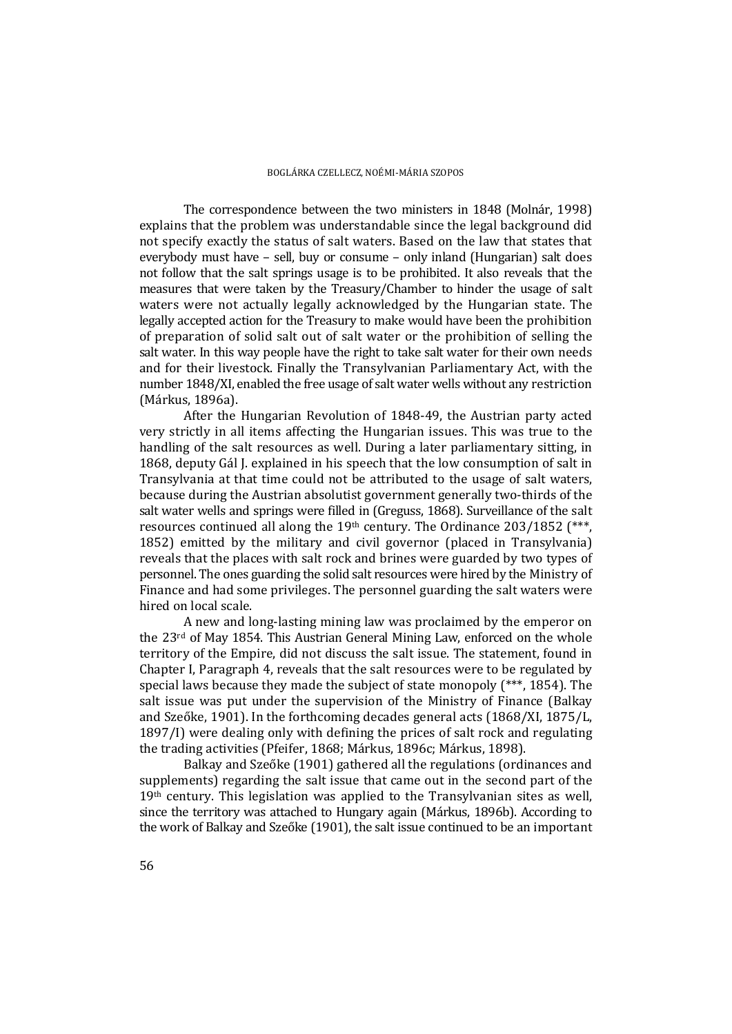The correspondence between the two ministers in 1848 (Molnár, 1998) explains that the problem was understandable since the legal background did not specify exactly the status of salt waters. Based on the law that states that everybody must have  $-$  sell, buy or consume  $-$  only inland (Hungarian) salt does not follow that the salt springs usage is to be prohibited. It also reveals that the measures that were taken by the Treasury/Chamber to hinder the usage of salt waters were not actually legally acknowledged by the Hungarian state. The legally accepted action for the Treasury to make would have been the prohibition of preparation of solid salt out of salt water or the prohibition of selling the salt water. In this way people have the right to take salt water for their own needs and for their livestock. Finally the Transylvanian Parliamentary Act, with the number 1848/XI, enabled the free usage of salt water wells without any restriction (Márkus, 1896a).

After the Hungarian Revolution of 1848-49, the Austrian party acted very strictly in all items affecting the Hungarian issues. This was true to the handling of the salt resources as well. During a later parliamentary sitting, in 1868, deputy Gál I, explained in his speech that the low consumption of salt in Transylvania at that time could not be attributed to the usage of salt waters, because during the Austrian absolutist government generally two-thirds of the salt water wells and springs were filled in (Greguss, 1868). Surveillance of the salt resources continued all along the  $19<sup>th</sup>$  century. The Ordinance  $203/1852$  (\*\*\*) 1852) emitted by the military and civil governor (placed in Transylvania) reveals that the places with salt rock and brines were guarded by two types of personnel. The ones guarding the solid salt resources were hired by the Ministry of Finance and had some privileges. The personnel guarding the salt waters were hired on local scale.

A new and long-lasting mining law was proclaimed by the emperor on the  $23<sup>rd</sup>$  of May 1854. This Austrian General Mining Law, enforced on the whole territory of the Empire, did not discuss the salt issue. The statement, found in Chapter I, Paragraph 4, reveals that the salt resources were to be regulated by special laws because they made the subject of state monopoly  $(***$ , 1854). The salt issue was put under the supervision of the Ministry of Finance (Balkay and Szeőke, 1901). In the forthcoming decades general acts  $(1868/XI, 1875/L,$  $1897/I$ ) were dealing only with defining the prices of salt rock and regulating the trading activities (Pfeifer, 1868; Márkus, 1896c; Márkus, 1898).

Balkay and Szeőke (1901) gathered all the regulations (ordinances and supplements) regarding the salt issue that came out in the second part of the  $19<sup>th</sup>$  century. This legislation was applied to the Transylvanian sites as well, since the territory was attached to Hungary again (Márkus, 1896b). According to the work of Balkay and Szeőke (1901), the salt issue continued to be an important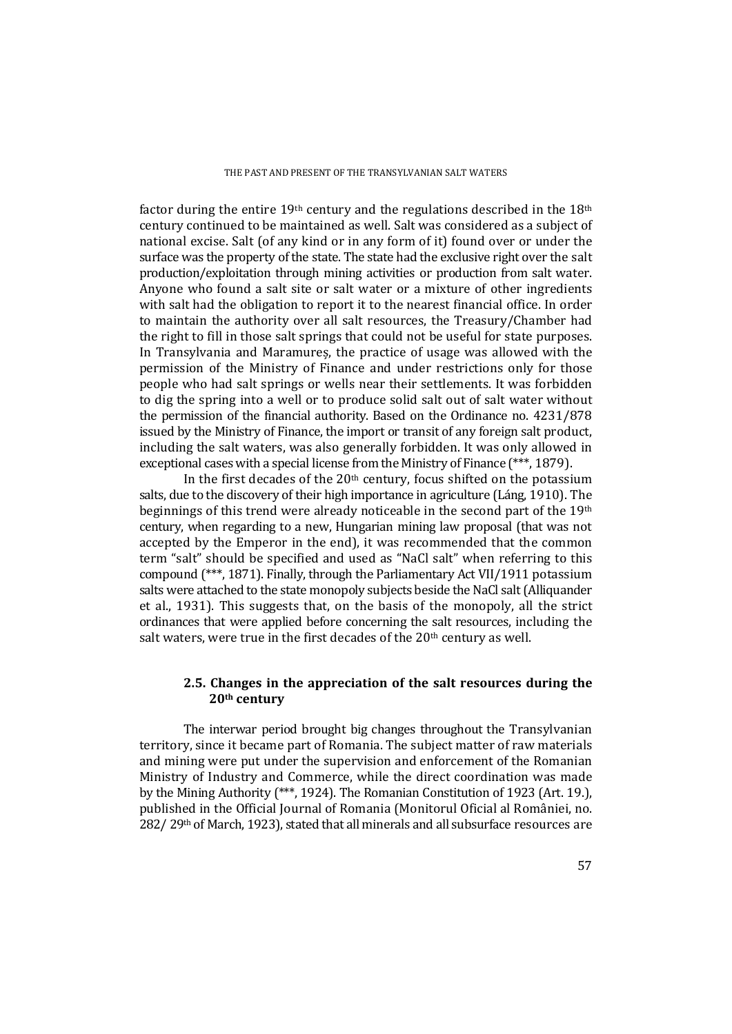factor during the entire 19<sup>th</sup> century and the regulations described in the 18<sup>th</sup> century continued to be maintained as well. Salt was considered as a subject of national excise. Salt (of any kind or in any form of it) found over or under the surface was the property of the state. The state had the exclusive right over the salt production/exploitation through mining activities or production from salt water. Anyone who found a salt site or salt water or a mixture of other ingredients with salt had the obligation to report it to the nearest financial office. In order to maintain the authority over all salt resources, the Treasury/Chamber had the right to fill in those salt springs that could not be useful for state purposes. In Transylvania and Maramures, the practice of usage was allowed with the permission of the Ministry of Finance and under restrictions only for those people who had salt springs or wells near their settlements. It was forbidden to dig the spring into a well or to produce solid salt out of salt water without the permission of the financial authority. Based on the Ordinance no.  $4231/878$ issued by the Ministry of Finance, the import or transit of any foreign salt product, including the salt waters, was also generally forbidden. It was only allowed in exceptional cases with a special license from the Ministry of Finance  $(***, 1879)$ .

In the first decades of the  $20<sup>th</sup>$  century, focus shifted on the potassium salts, due to the discovery of their high importance in agriculture (Láng, 1910). The beginnings of this trend were already noticeable in the second part of the  $19<sup>th</sup>$ century, when regarding to a new, Hungarian mining law proposal (that was not accepted by the Emperor in the end), it was recommended that the common term "salt" should be specified and used as "NaCl salt" when referring to this compound  $(***$ , 1871). Finally, through the Parliamentary Act VII/1911 potassium salts were attached to the state monopoly subjects beside the NaCl salt (Alliquander et al., 1931). This suggests that, on the basis of the monopoly, all the strict ordinances that were applied before concerning the salt resources, including the salt waters, were true in the first decades of the  $20<sup>th</sup>$  century as well.

### **2.5. Changes in the appreciation of the salt resources during the 20th century**

The interwar period brought big changes throughout the Transylvanian territory, since it became part of Romania. The subject matter of raw materials and mining were put under the supervision and enforcement of the Romanian Ministry of Industry and Commerce, while the direct coordination was made by the Mining Authority (\*\*\*, 1924). The Romanian Constitution of 1923 (Art. 19.), published in the Official Journal of Romania (Monitorul Oficial al României, no.  $282/29$ <sup>th</sup> of March, 1923), stated that all minerals and all subsurface resources are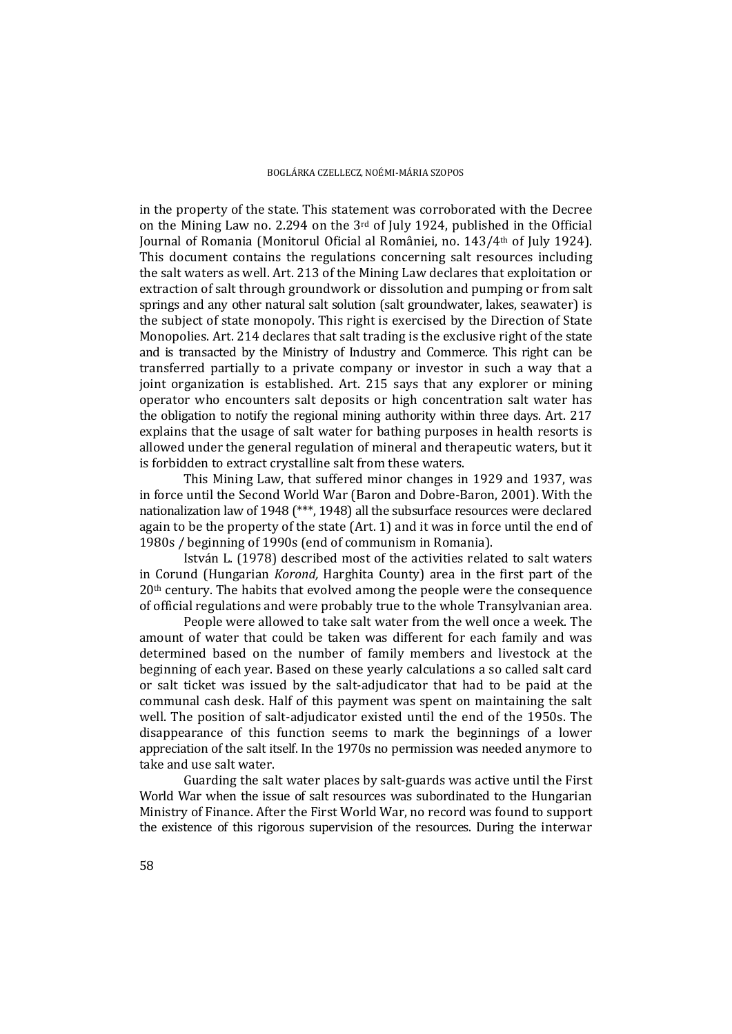in the property of the state. This statement was corroborated with the Decree on the Mining Law no. 2.294 on the  $3<sup>rd</sup>$  of July 1924, published in the Official Journal of Romania (Monitorul Oficial al României, no. 143/4<sup>th</sup> of July 1924). This document contains the regulations concerning salt resources including the salt waters as well. Art. 213 of the Mining Law declares that exploitation or extraction of salt through groundwork or dissolution and pumping or from salt springs and any other natural salt solution (salt groundwater, lakes, seawater) is the subject of state monopoly. This right is exercised by the Direction of State Monopolies. Art. 214 declares that salt trading is the exclusive right of the state and is transacted by the Ministry of Industry and Commerce. This right can be transferred partially to a private company or investor in such a way that a joint organization is established. Art. 215 says that any explorer or mining operator who encounters salt deposits or high concentration salt water has the obligation to notify the regional mining authority within three days. Art. 217 explains that the usage of salt water for bathing purposes in health resorts is allowed under the general regulation of mineral and therapeutic waters, but it is forbidden to extract crystalline salt from these waters.

This Mining Law, that suffered minor changes in 1929 and 1937, was in force until the Second World War (Baron and Dobre-Baron, 2001). With the nationalization law of 1948  $(***$ , 1948) all the subsurface resources were declared again to be the property of the state  $(Art. 1)$  and it was in force until the end of 1980s / beginning of 1990s (end of communism in Romania).

István L. (1978) described most of the activities related to salt waters in Corund (Hungarian *Korond*, Harghita County) area in the first part of the  $20<sup>th</sup>$  century. The habits that evolved among the people were the consequence of official regulations and were probably true to the whole Transylvanian area.

People were allowed to take salt water from the well once a week. The amount of water that could be taken was different for each family and was determined based on the number of family members and livestock at the beginning of each year. Based on these yearly calculations a so called salt card or salt ticket was issued by the salt-adjudicator that had to be paid at the communal cash desk. Half of this payment was spent on maintaining the salt well. The position of salt-adjudicator existed until the end of the 1950s. The disappearance of this function seems to mark the beginnings of a lower appreciation of the salt itself. In the 1970s no permission was needed anymore to take and use salt water.

Guarding the salt water places by salt-guards was active until the First World War when the issue of salt resources was subordinated to the Hungarian Ministry of Finance. After the First World War, no record was found to support the existence of this rigorous supervision of the resources. During the interwar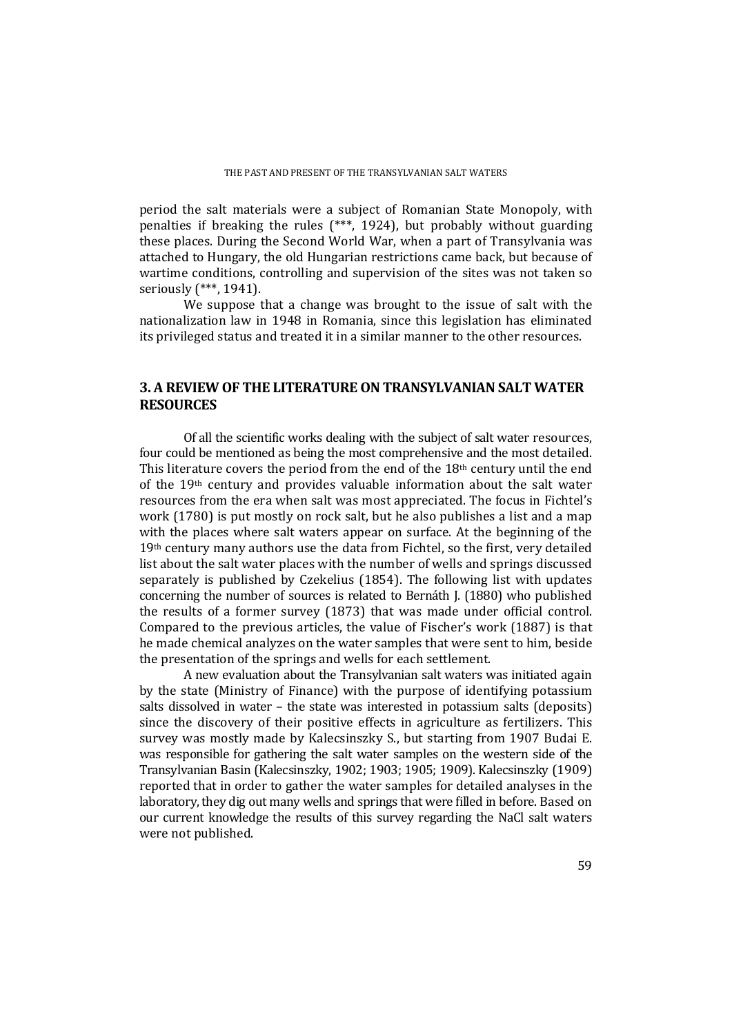#### THE PAST AND PRESENT OF THE TRANSYLVANIAN SALT WATERS

period the salt materials were a subject of Romanian State Monopoly, with penalties if breaking the rules  $(***$ , 1924), but probably without guarding these places. During the Second World War, when a part of Transylvania was attached to Hungary, the old Hungarian restrictions came back, but because of wartime conditions, controlling and supervision of the sites was not taken so seriously (\*\*\*, 1941).

We suppose that a change was brought to the issue of salt with the nationalization law in 1948 in Romania, since this legislation has eliminated its privileged status and treated it in a similar manner to the other resources.

# **3. A REVIEW OF THE LITERATUREON TRANSYLVANIAN SALT WATER RESOURCES**

Of all the scientific works dealing with the subject of salt water resources, four could be mentioned as being the most comprehensive and the most detailed. This literature covers the period from the end of the  $18<sup>th</sup>$  century until the end of the  $19<sup>th</sup>$  century and provides valuable information about the salt water resources from the era when salt was most appreciated. The focus in Fichtel's work  $(1780)$  is put mostly on rock salt, but he also publishes a list and a map with the places where salt waters appear on surface. At the beginning of the  $19<sup>th</sup>$  century many authors use the data from Fichtel, so the first, very detailed list about the salt water places with the number of wells and springs discussed separately is published by Czekelius  $(1854)$ . The following list with updates concerning the number of sources is related to Bernáth J. (1880) who published the results of a former survey  $(1873)$  that was made under official control. Compared to the previous articles, the value of Fischer's work  $(1887)$  is that he made chemical analyzes on the water samples that were sent to him, beside the presentation of the springs and wells for each settlement.

A new evaluation about the Transylvanian salt waters was initiated again by the state (Ministry of Finance) with the purpose of identifying potassium salts dissolved in water  $-$  the state was interested in potassium salts (deposits) since the discovery of their positive effects in agriculture as fertilizers. This survey was mostly made by Kalecsinszky S., but starting from 1907 Budai E. was responsible for gathering the salt water samples on the western side of the Transylvanian Basin (Kalecsinszky, 1902; 1903; 1905; 1909). Kalecsinszky (1909). reported that in order to gather the water samples for detailed analyses in the laboratory, they dig out many wells and springs that were filled in before. Based on our current knowledge the results of this survey regarding the NaCl salt waters were not published.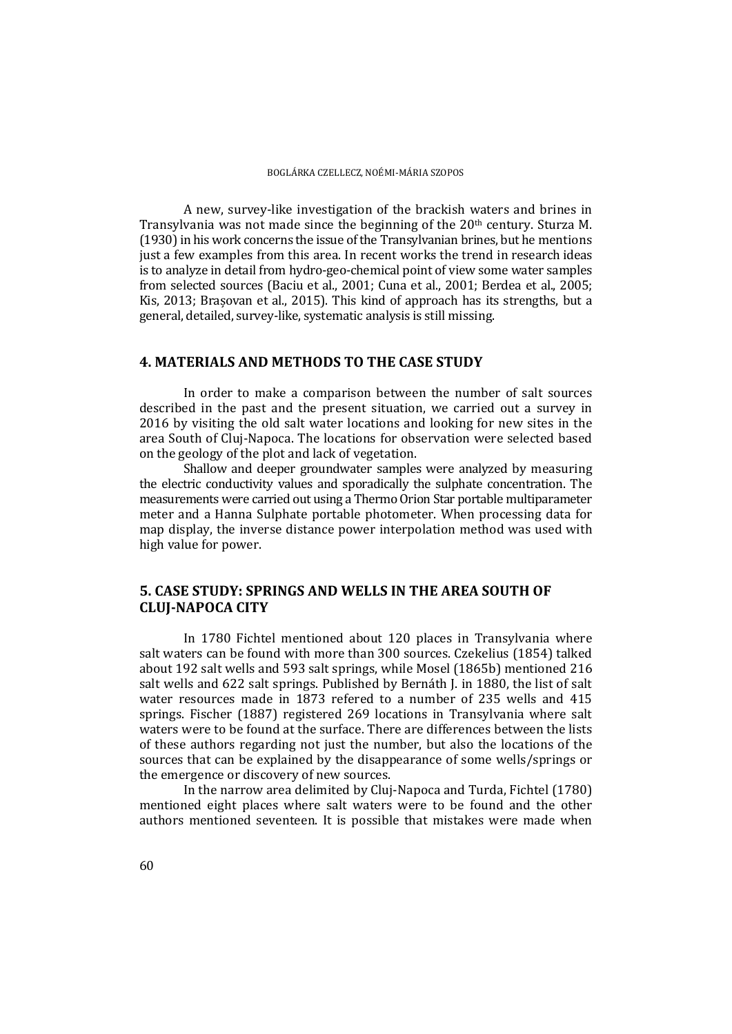A new, survey-like investigation of the brackish waters and brines in Transylvania was not made since the beginning of the  $20<sup>th</sup>$  century. Sturza M. (1930) in his work concerns the issue of the Transylvanian brines, but he mentions just a few examples from this area. In recent works the trend in research ideas is to analyze in detail from hydro-geo-chemical point of view some water samples from selected sources (Baciu et al., 2001; Cuna et al., 2001; Berdea et al., 2005; Kis, 2013; Brașovan et al., 2015). This kind of approach has its strengths, but a general, detailed, survey-like, systematic analysis is still missing.

### **4. MATERIALS AND METHODS TO THE CASE STUDY**

In order to make a comparison between the number of salt sources described in the past and the present situation, we carried out a survey in 2016 by visiting the old salt water locations and looking for new sites in the area South of Clui-Napoca. The locations for observation were selected based on the geology of the plot and lack of vegetation.

Shallow and deeper groundwater samples were analyzed by measuring the electric conductivity values and sporadically the sulphate concentration. The measurements were carried out using a Thermo Orion Star portable multiparameter meter and a Hanna Sulphate portable photometer. When processing data for map display, the inverse distance power interpolation method was used with high value for power.

## **5. CASE STUDY: SPRINGS AND WELLS IN THE AREA SOUTH OF CLUJ‐NAPOCA CITY**

In 1780 Fichtel mentioned about 120 places in Transylvania where salt waters can be found with more than 300 sources. Czekelius (1854) talked about 192 salt wells and 593 salt springs, while Mosel (1865b) mentioned 216 salt wells and 622 salt springs. Published by Bernáth J. in 1880, the list of salt water resources made in 1873 refered to a number of 235 wells and  $415$ springs. Fischer (1887) registered 269 locations in Transylvania where salt waters were to be found at the surface. There are differences between the lists of these authors regarding not just the number, but also the locations of the sources that can be explained by the disappearance of some wells/springs or the emergence or discovery of new sources.

In the narrow area delimited by Cluj-Napoca and Turda, Fichtel (1780) mentioned eight places where salt waters were to be found and the other authors mentioned seventeen. It is possible that mistakes were made when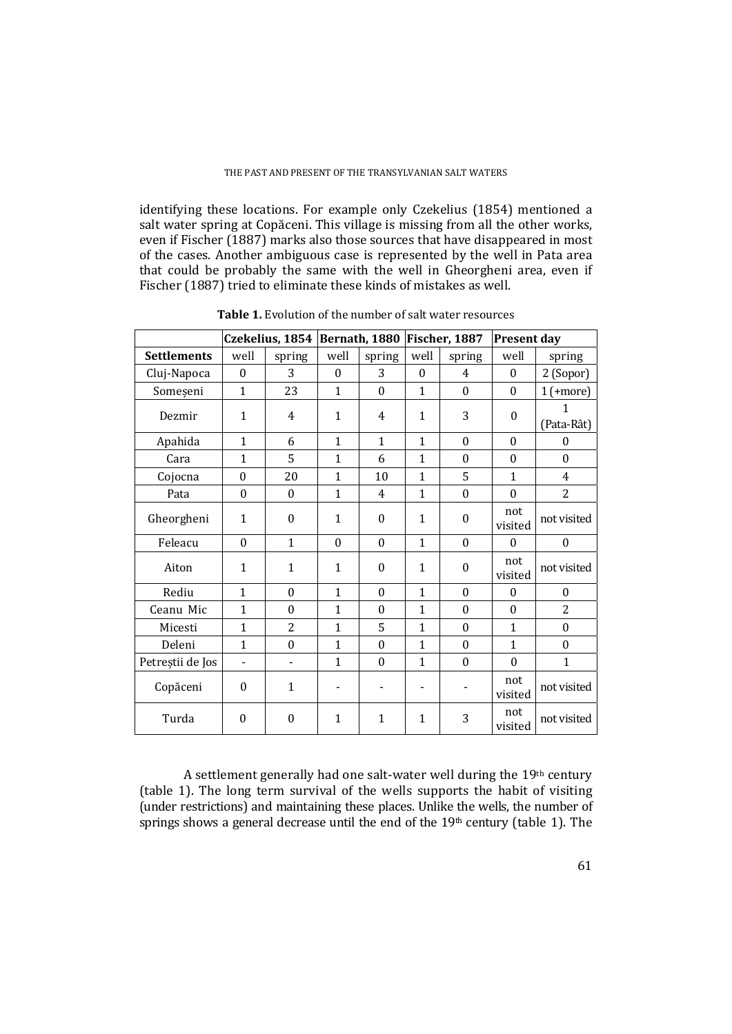identifying these locations. For example only Czekelius (1854) mentioned a salt water spring at Copăceni. This village is missing from all the other works, even if Fischer (1887) marks also those sources that have disappeared in most of the cases. Another ambiguous case is represented by the well in Pata area that could be probably the same with the well in Gheorgheni area, even if Fischer (1887) tried to eliminate these kinds of mistakes as well.

|                    | Czekelius, 1854  |                          | Bernath, 1880            |                  | Fischer, 1887 |                  | <b>Present day</b> |                  |
|--------------------|------------------|--------------------------|--------------------------|------------------|---------------|------------------|--------------------|------------------|
| <b>Settlements</b> | well             | spring                   | well                     | spring           | well          | spring           | well               | spring           |
| Cluj-Napoca        | $\boldsymbol{0}$ | 3                        | $\theta$                 | 3                | $\theta$      | 4                | $\theta$           | 2 (Sopor)        |
| Someșeni           | $\mathbf{1}$     | 23                       | $\mathbf{1}$             | $\theta$         | $\mathbf{1}$  | $\theta$         | $\theta$           | $1$ (+more)      |
| Dezmir             | $\mathbf{1}$     | 4                        | $\mathbf{1}$             | 4                | $\mathbf{1}$  | 3                | $\boldsymbol{0}$   | 1<br>(Pata-Rât)  |
| Apahida            | $\mathbf{1}$     | 6                        | $\mathbf{1}$             | $\mathbf{1}$     | $\mathbf{1}$  | $\theta$         | $\theta$           | $\Omega$         |
| Cara               | $\mathbf{1}$     | 5                        | $\mathbf{1}$             | 6                | $\mathbf{1}$  | $\theta$         | $\theta$           | $\theta$         |
| Cojocna            | $\theta$         | 20                       | $\mathbf{1}$             | 10               | 1             | 5                | 1                  | $\overline{4}$   |
| Pata               | $\boldsymbol{0}$ | $\theta$                 | $\mathbf{1}$             | $\overline{4}$   | $\mathbf{1}$  | $\boldsymbol{0}$ | $\theta$           | $\overline{2}$   |
| Gheorgheni         | 1                | $\theta$                 | $\mathbf{1}$             | $\theta$         | $\mathbf{1}$  | $\theta$         | not<br>visited     | not visited      |
| Feleacu            | $\boldsymbol{0}$ | $\mathbf{1}$             | $\theta$                 | $\boldsymbol{0}$ | $\mathbf{1}$  | $\boldsymbol{0}$ | $\boldsymbol{0}$   | $\boldsymbol{0}$ |
| Aiton              | $\mathbf{1}$     | $\mathbf{1}$             | $\mathbf{1}$             | $\theta$         | 1             | $\boldsymbol{0}$ | not<br>visited     | not visited      |
| Rediu              | $\mathbf{1}$     | $\theta$                 | $\mathbf{1}$             | $\theta$         | $\mathbf{1}$  | $\theta$         | $\theta$           | $\Omega$         |
| Ceanu Mic          | $\mathbf{1}$     | $\mathbf{0}$             | $\mathbf{1}$             | $\mathbf{0}$     | $\mathbf{1}$  | $\mathbf{0}$     | $\mathbf{0}$       | $\overline{2}$   |
| Micesti            | $\mathbf{1}$     | 2                        | 1                        | 5                | 1             | $\theta$         | $\mathbf{1}$       | $\theta$         |
| Deleni             | $\mathbf{1}$     | $\theta$                 | $\mathbf{1}$             | $\theta$         | 1             | $\theta$         | $\mathbf{1}$       | $\boldsymbol{0}$ |
| Petreștii de Jos   | $\blacksquare$   | $\overline{\phantom{0}}$ | $\mathbf{1}$             | $\boldsymbol{0}$ | $\mathbf{1}$  | $\boldsymbol{0}$ | $\Omega$           | $\mathbf{1}$     |
| Copăceni           | $\theta$         | $\mathbf{1}$             | $\overline{\phantom{a}}$ |                  |               |                  | not<br>visited     | not visited      |
| Turda              | 0                | 0                        | $\mathbf{1}$             | 1                | 1             | 3                | not<br>visited     | not visited      |

**Table 1.** Evolution of the number of salt water resources

A settlement generally had one salt-water well during the  $19<sup>th</sup>$  century (table 1). The long term survival of the wells supports the habit of visiting (under restrictions) and maintaining these places. Unlike the wells, the number of springs shows a general decrease until the end of the  $19<sup>th</sup>$  century (table 1). The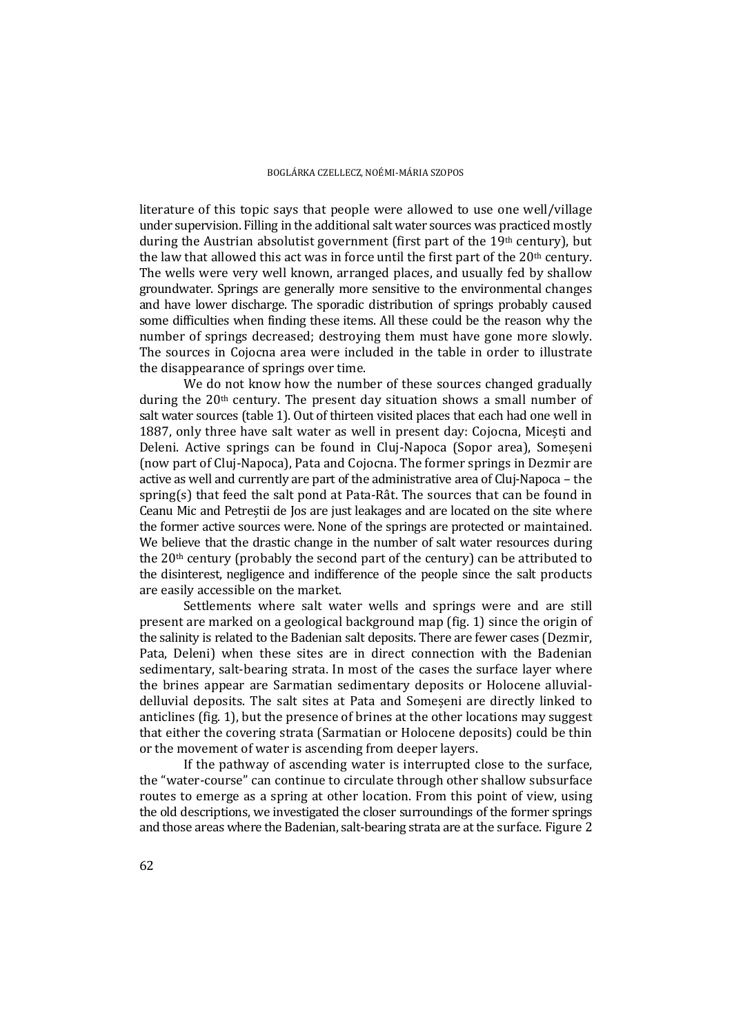literature of this topic says that people were allowed to use one well/village under supervision. Filling in the additional salt water sources was practiced mostly during the Austrian absolutist government (first part of the  $19<sup>th</sup>$  century), but the law that allowed this act was in force until the first part of the  $20<sup>th</sup>$  century. The wells were very well known, arranged places, and usually fed by shallow groundwater. Springs are generally more sensitive to the environmental changes and have lower discharge. The sporadic distribution of springs probably caused some difficulties when finding these items. All these could be the reason why the number of springs decreased; destroying them must have gone more slowly. The sources in Cojocna area were included in the table in order to illustrate the disappearance of springs over time.

We do not know how the number of these sources changed gradually during the  $20<sup>th</sup>$  century. The present day situation shows a small number of salt water sources (table 1). Out of thirteen visited places that each had one well in 1887, only three have salt water as well in present day: Cojocna, Micesti and Deleni. Active springs can be found in Cluj-Napoca (Sopor area), Someșeni (now part of Clui-Napoca), Pata and Cojocna. The former springs in Dezmir are active as well and currently are part of the administrative area of Cluj-Napoca – the spring(s) that feed the salt pond at Pata-Rât. The sources that can be found in Ceanu Mic and Petrestii de Jos are just leakages and are located on the site where the former active sources were. None of the springs are protected or maintained. We believe that the drastic change in the number of salt water resources during the  $20<sup>th</sup>$  century (probably the second part of the century) can be attributed to the disinterest, negligence and indifference of the people since the salt products are easily accessible on the market.

Settlements where salt water wells and springs were and are still present are marked on a geological background map  $(fig. 1)$  since the origin of the salinity is related to the Badenian salt deposits. There are fewer cases (Dezmir, Pata, Deleni) when these sites are in direct connection with the Badenian sedimentary, salt-bearing strata. In most of the cases the surface layer where the brines appear are Sarmatian sedimentary deposits or Holocene alluvialdelluvial deposits. The salt sites at Pata and Someseni are directly linked to anticlines  $(fig. 1)$ , but the presence of brines at the other locations may suggest that either the covering strata (Sarmatian or Holocene deposits) could be thin or the movement of water is ascending from deeper layers.

If the pathway of ascending water is interrupted close to the surface, the "water-course" can continue to circulate through other shallow subsurface routes to emerge as a spring at other location. From this point of view, using the old descriptions, we investigated the closer surroundings of the former springs and those areas where the Badenian, salt-bearing strata are at the surface. Figure 2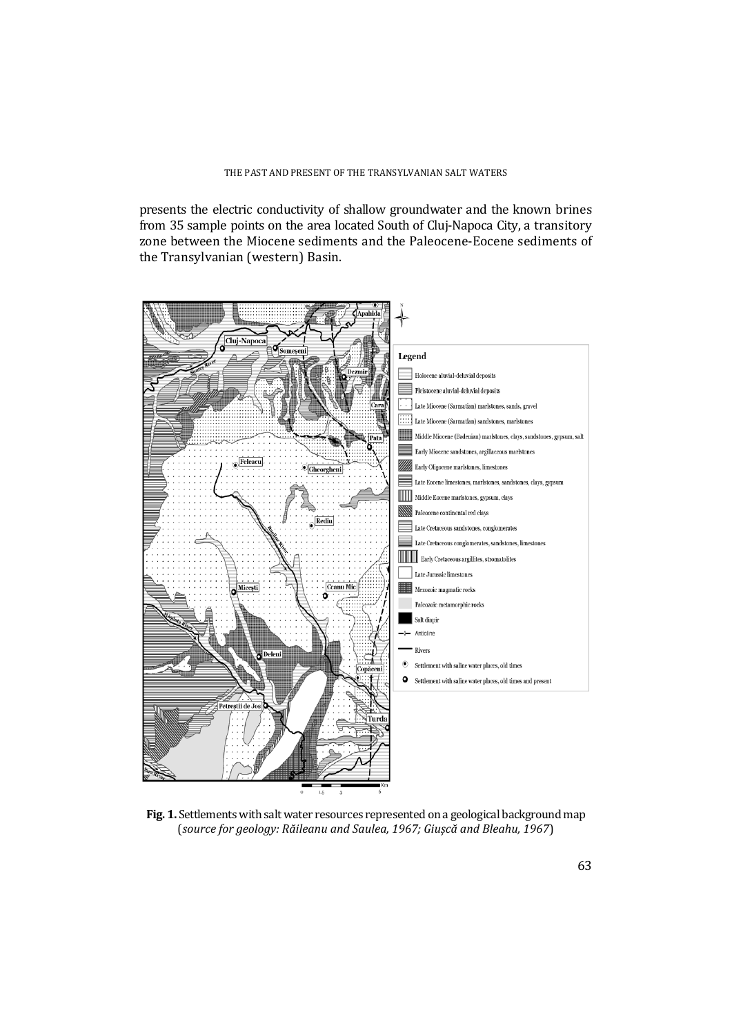presents the electric conductivity of shallow groundwater and the known brines from 35 sample points on the area located South of Cluj-Napoca City, a transitory zone between the Miocene sediments and the Paleocene-Eocene sediments of the Transylvanian (western) Basin.



Fig. 1. Settlements with salt water resources represented on a geological background map (*source for geology: Răileanu and Saulea, 1967; Giușcă and Bleahu, 1967*)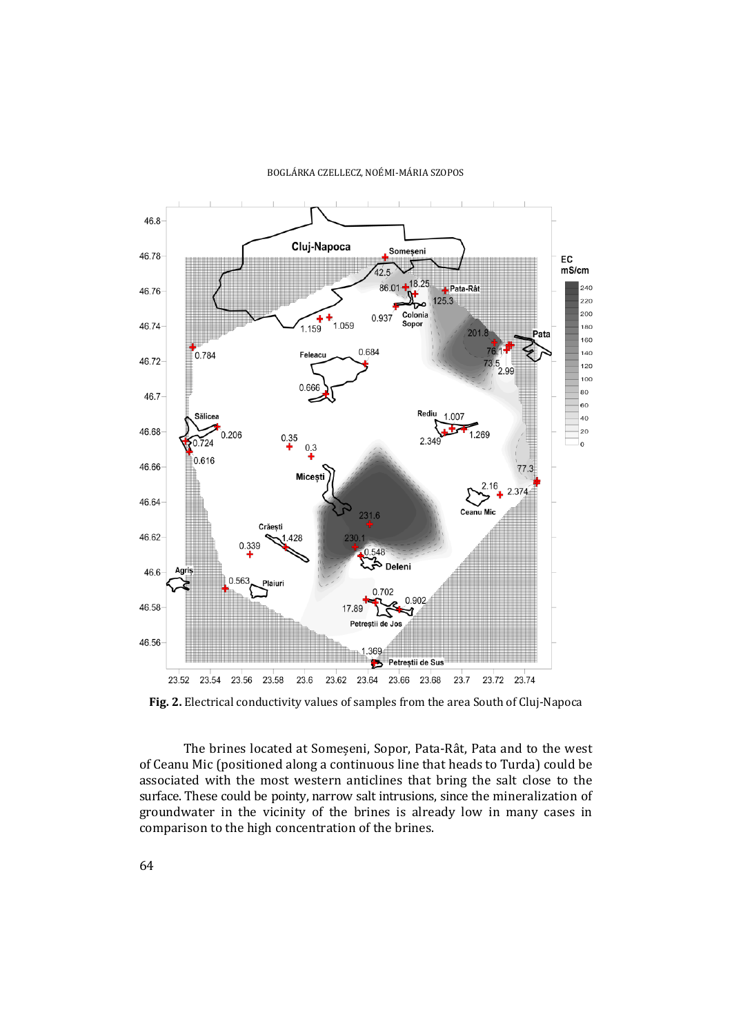#### BOGLÁRKA CZELLECZ, NOÉMI‐MÁRIA SZOPOS



Fig. 2. Electrical conductivity values of samples from the area South of Cluj-Napoca

The brines located at Someseni, Sopor, Pata-Rât, Pata and to the west of Ceanu Mic (positioned along a continuous line that heads to Turda) could be associated with the most western anticlines that bring the salt close to the surface. These could be pointy, narrow salt intrusions, since the mineralization of groundwater in the vicinity of the brines is already low in many cases in comparison to the high concentration of the brines.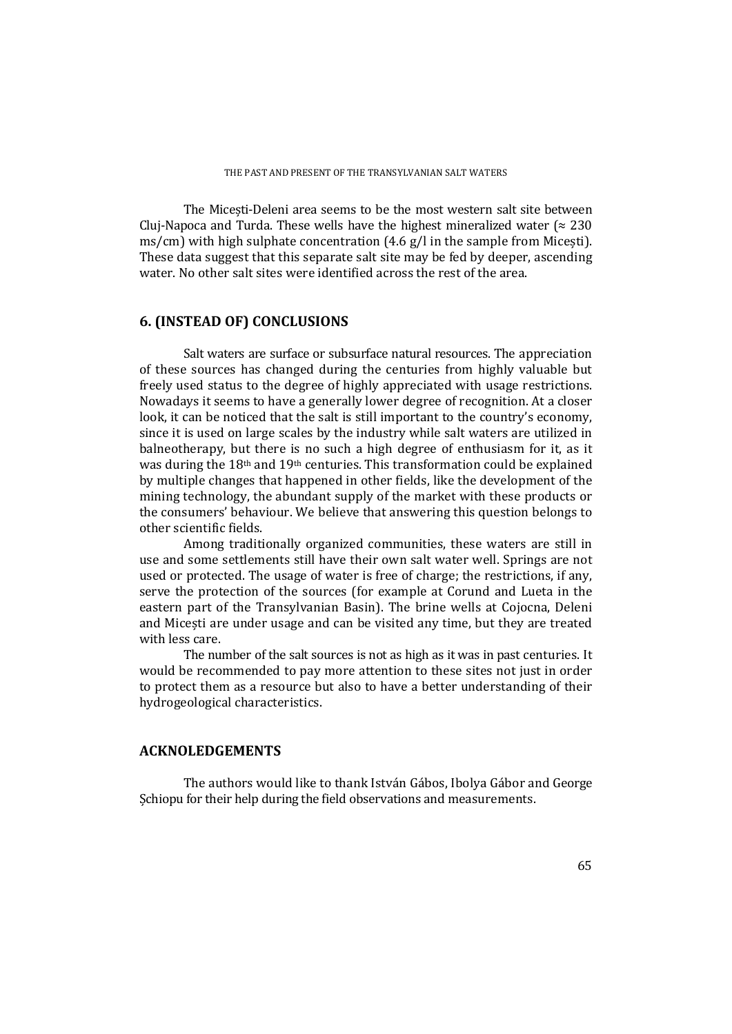The Micesti-Deleni area seems to be the most western salt site between Cluj-Napoca and Turda. These wells have the highest mineralized water ( $\approx 230$ ) ms/cm) with high sulphate concentration  $(4.6 \text{ g/l} \cdot \text{m})$  for the sample from Micesti). These data suggest that this separate salt site may be fed by deeper, ascending water. No other salt sites were identified across the rest of the area.

## **6. (INSTEAD OF) CONCLUSIONS**

Salt waters are surface or subsurface natural resources. The appreciation of these sources has changed during the centuries from highly valuable but freely used status to the degree of highly appreciated with usage restrictions. Nowadays it seems to have a generally lower degree of recognition. At a closer look, it can be noticed that the salt is still important to the country's economy, since it is used on large scales by the industry while salt waters are utilized in balneotherapy, but there is no such a high degree of enthusiasm for it, as it was during the  $18<sup>th</sup>$  and  $19<sup>th</sup>$  centuries. This transformation could be explained by multiple changes that happened in other fields, like the development of the mining technology, the abundant supply of the market with these products or the consumers' behaviour. We believe that answering this question belongs to other scientific fields.

Among traditionally organized communities, these waters are still in use and some settlements still have their own salt water well. Springs are not used or protected. The usage of water is free of charge; the restrictions, if any, serve the protection of the sources (for example at Corund and Lueta in the eastern part of the Transylvanian Basin). The brine wells at Cojocna, Deleni and Micesti are under usage and can be visited any time, but they are treated with less care.

The number of the salt sources is not as high as it was in past centuries. It would be recommended to pay more attention to these sites not just in order to protect them as a resource but also to have a better understanding of their hydrogeological characteristics.

## **ACKNOLEDGEMENTS**

The authors would like to thank István Gábos, Ibolya Gábor and George Schiopu for their help during the field observations and measurements.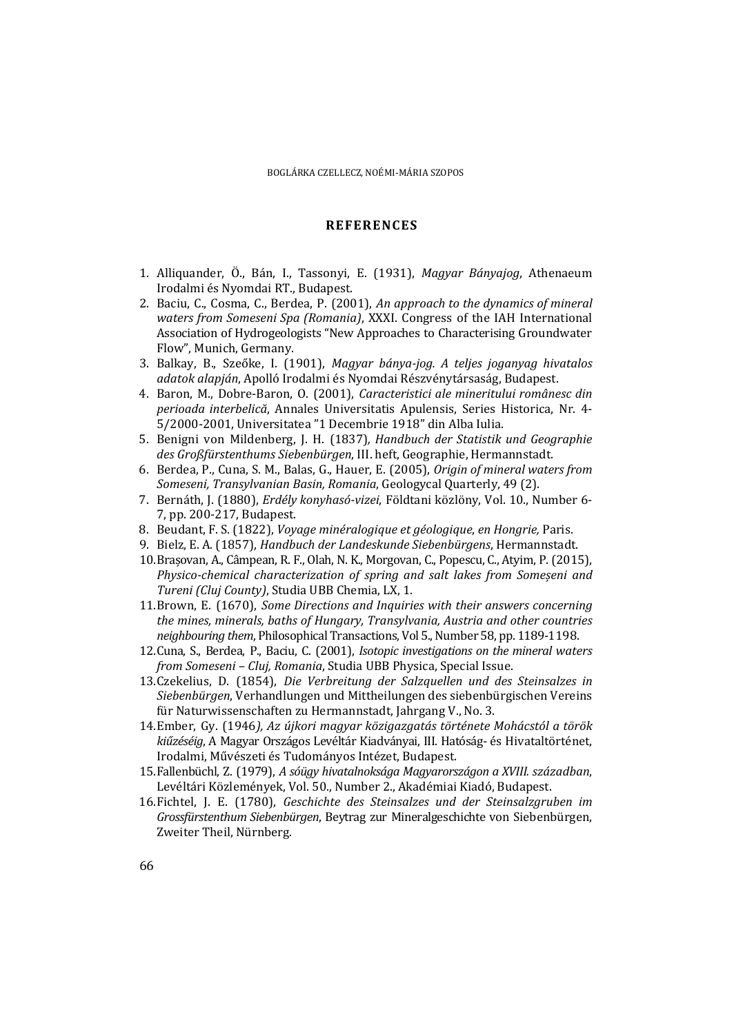### **REFERENCES**

- 1. Alliquander, Ö., Bán, I., Tassonyi, E. (1931), *Magyar Bányajog*, Athenaeum Irodalmi és Nyomdai RT., Budapest.
- 2. Baciu, C., Cosma, C., Berdea, P. (2001), *An approach to the dynamics of mineral waters from Someseni Spa (Romania)*, XXXI. Congress of the IAH International Association of Hydrogeologists "New Approaches to Characterising Groundwater Flow", Munich, Germany.
- 3. Balkay, B., Szeőke, I. (1901), *Magyar bánya‐jog. A teljes joganyag hivatalos adatok alapján*, Apolló Irodalmi és Nyomdai Részvénytársaság, Budapest.
- 4. Baron, M., Dobre‐Baron, O. (2001), *Caracteristici ale mineritului românesc din perioada interbelică*, Annales Universitatis Apulensis, Series Historica, Nr. 4‐ 5/2000-2001, Universitatea "1 Decembrie 1918" din Alba Iulia.
- 5. Benigni von Mildenberg, J. H. (1837)*, Handbuch der Statistik und Geographie des Großfürstenthums Siebenbürgen*, III. heft, Geographie, Hermannstadt.
- 6. Berdea, P., Cuna, S. M., Balas, G., Hauer, E. (2005), *Origin of mineral waters from Someseni, Transylvanian Basin, Romania*, Geologycal Quarterly, 49 (2).
- 7. Bernáth, J. (1880), *Erdély konyhasó-vizei*, Földtani közlöny, Vol. 10., Number 6-7, pp. 200-217, Budapest.
- 8. Beudant, F. S. (1822), *Voyage minéralogique et géologique*, *en Hongrie,* Paris.
- 9. Bielz, E. A. (1857), *Handbuch der Landeskunde Siebenbürgens*, Hermannstadt.
- 10.Brasovan, A., Câmpean, R. F., Olah, N. K., Morgovan, C., Popescu, C., Atyim, P. (2015), *Physico‐chemical characterization of spring and salt lakes from Someșeni and Tureni (Cluj County)*, Studia UBB Chemia, LX, 1.
- 11.Brown, E. (1670), *Some Directions and Inquiries with their answers concerning the mines, minerals, baths of Hungary, Transylvania, Austria and other countries neighbouring them*, Philosophical Transactions, Vol 5., Number 58, pp. 1189-1198.
- 12.Cuna, S., Berdea, P., Baciu, C. (2001), *Isotopic investigations on the mineral waters from Someseni – Cluj, Romania*, Studia UBB Physica, Special Issue.
- 13.Czekelius, D. (1854), *Die Verbreitung der Salzquellen und des Steinsalzes in Siebenbürgen*, Verhandlungen und Mittheilungen des siebenbürgischen Vereins für Naturwissenschaften zu Hermannstadt, Jahrgang V., No. 3.
- 14.Ember, Gy. (1946*), Az újkori magyar közigazgatás története Mohácstól a török kiűzéséig*, A Magyar Országos Levéltár Kiadványai, III. Hatóság‐ és Hivataltörténet, Irodalmi, Művészeti és Tudományos Intézet, Budapest.
- 15.Fallenbüchl, Z. (1979), *A sóügy hivatalnoksága Magyarországon a XVIII. században*, Levéltári Közlemények, Vol. 50., Number 2., Akadémiai Kiadó, Budapest.
- 16.Fichtel, J. E. (1780), *Geschichte des Steinsalzes und der Steinsalzgruben im Grossfürstenthum Siebenbürgen*, Beytrag zur Mineralgeschichte von Siebenbürgen, Zweiter Theil, Nürnberg.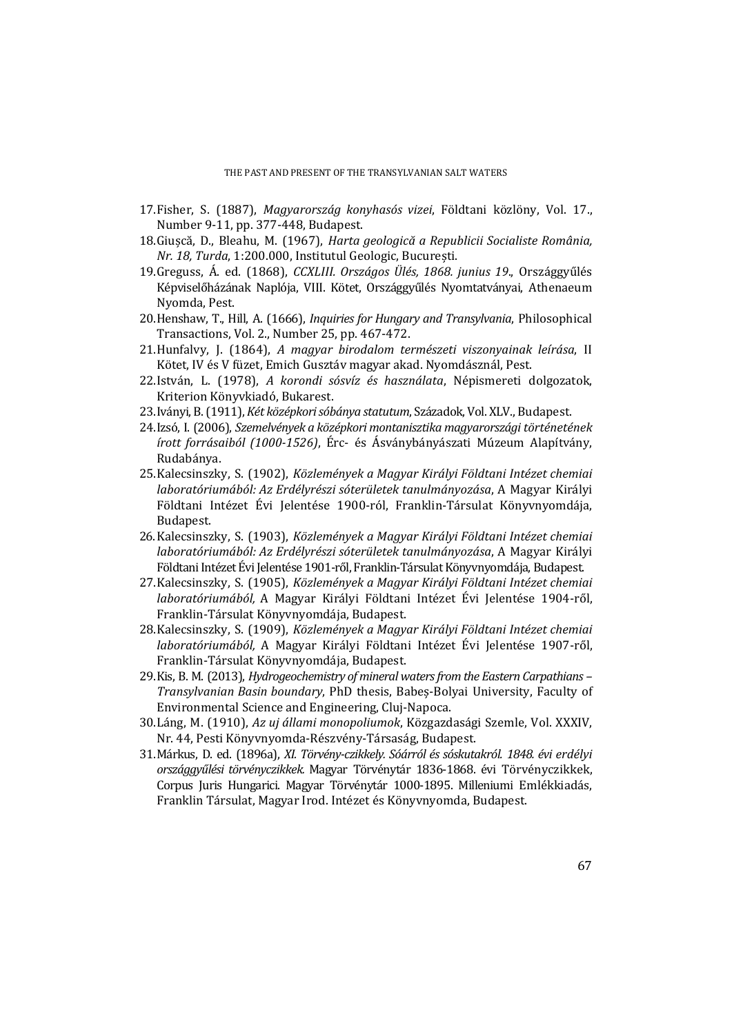- 17.Fisher, S. (1887), *Magyarország konyhasós vizei*, Földtani közlöny, Vol. 17., Number 9-11, pp. 377-448, Budapest.
- 18.Giușcă, D., Bleahu, M. (1967), *Harta geologică a Republicii Socialiste România, Nr. 18, Turda*, 1:200.000, Institutul Geologic, București.
- 19.Greguss, Á. ed. (1868), *CCXLIII. Országos Ülés, 1868. junius 19*., Országgyűlés Képviselőházának Naplója, VIII. Kötet, Országgyűlés Nyomtatványai, Athenaeum Nyomda, Pest.
- 20.Henshaw, T., Hill, A. (1666), *Inquiries for Hungary and Transylvania*, Philosophical Transactions, Vol. 2., Number 25, pp. 467-472.
- 21.Hunfalvy, J. (1864), *A magyar birodalom természeti viszonyainak leírása*, II Kötet, IV és V füzet, Emich Gusztáv magyar akad. Nyomdásznál, Pest.
- 22.István, L. (1978), *A korondi sósvíz és használata*, Népismereti dolgozatok, Kriterion Könyvkiadó, Bukarest.
- 23.Iványi, B. (1911), *Két középkori sóbánya statutum*, Századok, Vol. XLV., Budapest.
- 24.Izsó, I. (2006), *Szemelvények a középkori montanisztika magyarországi történetének írott forrásaiból (1000‐1526)*, Érc‐ és Ásványbányászati Múzeum Alapítvány, Rudabánya.
- 25.Kalecsinszky, S. (1902), *Közlemények a Magyar Királyi Földtani Intézet chemiai laboratóriumából: Az Erdélyrészi sóterületek tanulmányozása*, A Magyar Királyi Földtani Intézet Évi Jelentése 1900-ról, Franklin-Társulat Könyvnyomdája, Budapest.
- 26.Kalecsinszky, S. (1903), *Közlemények a Magyar Királyi Földtani Intézet chemiai laboratóriumából: Az Erdélyrészi sóterületek tanulmányozása*, A Magyar Királyi Földtani Intézet Évi Jelentése 1901-ről, Franklin-Társulat Könyvnyomdája, Budapest.
- 27.Kalecsinszky, S. (1905), *Közlemények a Magyar Királyi Földtani Intézet chemiai laboratóriumából,* A Magyar Királyi Földtani Intézet Évi Jelentése 1904‐ről, Franklin-Társulat Könyvnyomdája, Budapest.
- 28.Kalecsinszky, S. (1909), *Közlemények a Magyar Királyi Földtani Intézet chemiai laboratóriumából,* A Magyar Királyi Földtani Intézet Évi Jelentése 1907‐ről, Franklin-Társulat Könyvnyomdája, Budapest.
- 29.Kis, B. M. (2013), *Hydrogeochemistry of mineral watersfrom the Eastern Carpathians – Transylvanian Basin boundary*, PhD thesis, Babeș‐Bolyai University, Faculty of Environmental Science and Engineering, Cluj-Napoca.
- 30.Láng, M. (1910), *Az uj állami monopoliumok*, Közgazdasági Szemle, Vol. XXXIV, Nr. 44, Pesti Könyvnyomda-Részvény-Társaság, Budapest.
- 31.Márkus, D. ed. (1896a), *XI. Törvény‐czikkely. Sóárról és sóskutakról. 1848. évi erdélyi országgyűlési törvényczikkek.* Magyar Törvénytár 1836‐1868. évi Törvényczikkek, Corpus Juris Hungarici. Magyar Törvénytár 1000-1895. Milleniumi Emlékkiadás, Franklin Társulat, Magyar Irod. Intézet és Könyvnyomda, Budapest.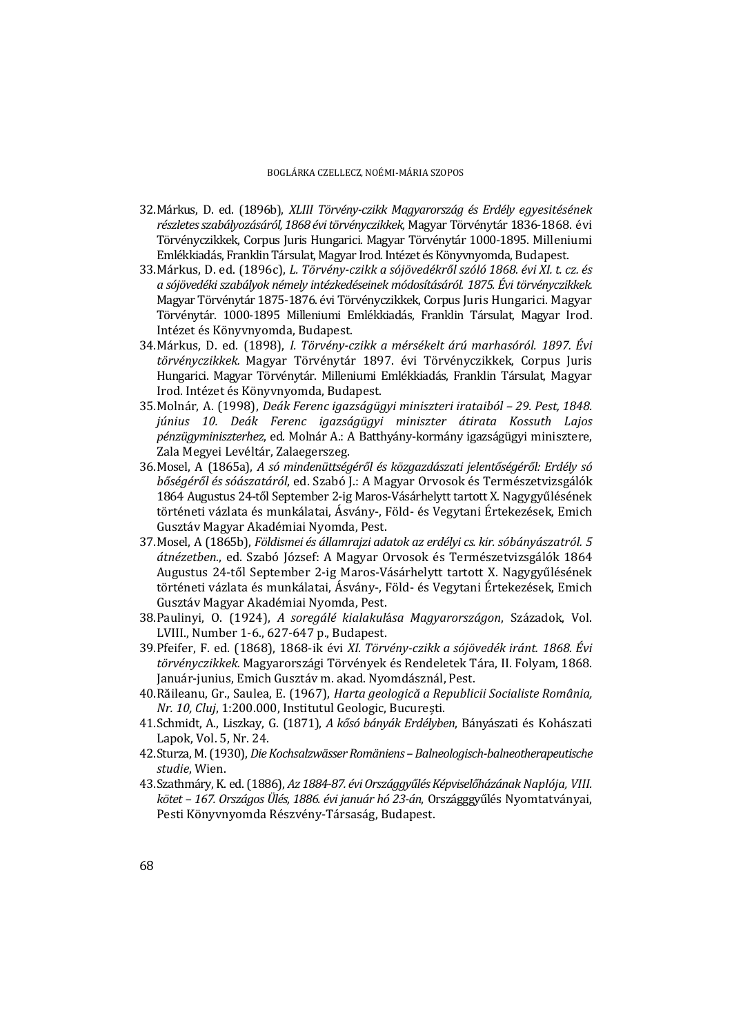- 32.Márkus, D. ed. (1896b), *XLIII Törvény‐czikk Magyarország és Erdély egyesitésének részletesszabályozásáról, 1868 évitörvényczikkek*, Magyar Törvénytár 1836‐1868. évi Törvényczikkek, Corpus Juris Hungarici. Magyar Törvénytár 1000-1895. Milleniumi Emlékkiadás, Franklin Társulat, Magyar Irod. Intézet és Könyvnyomda, Budapest.
- 33.Márkus, D. ed. (1896c), *L. Törvény‐czikk a sójövedékről szóló 1868. évi XI. t. cz. és a sójövedéki szabályok némely intézkedéseinek módosításáról. 1875. Évi törvényczikkek.* Magyar Törvénytár 1875-1876. évi Törvényczikkek, Corpus Juris Hungarici. Magyar Törvénytár, 1000-1895 Milleniumi Emlékkiadás, Franklin Társulat, Magyar Irod. Intézet és Könyvnyomda, Budapest.
- 34.Márkus, D. ed. (1898), *I. Törvény‐czikk a mérsékelt árú marhasóról. 1897. Évi törvényczikkek.* Magyar Törvénytár 1897. évi Törvényczikkek, Corpus Juris Hungarici. Magyar Törvénytár. Milleniumi Emlékkiadás, Franklin Társulat, Magyar Irod. Intézet és Könyvnyomda, Budapest.
- 35.Molnár, A. (1998), *Deák Ferenc igazságügyi miniszteri irataiból – 29. Pest, 1848. június 10. Deák Ferenc igazságügyi miniszter átirata Kossuth Lajos pénzügyminiszterhez*, ed. Molnár A.: A Batthyány-kormány igazságügyi minisztere, Zala Megyei Levéltár, Zalaegerszeg.
- 36.Mosel, A (1865a), *A só mindenüttségéről és közgazdászati jelentőségéről: Erdély só bőségéről és sóászatáról*, ed. Szabó J.: A Magyar Orvosok és Természetvizsgálók 1864 Augustus 24-től September 2-ig Maros-Vásárhelytt tartott X. Nagygyűlésének történeti vázlata és munkálatai, Ásvány-, Föld- és Vegytani Értekezések, Emich Gusztáv Magyar Akadémiai Nyomda, Pest.
- 37.Mosel, A (1865b), *Földismei és államrajzi adatok az erdélyi cs. kir. sóbányászatról. 5 átnézetben.*, ed. Szabó József: A Magyar Orvosok és Természetvizsgálók 1864 Augustus 24‐től September 2‐ig Maros‐Vásárhelytt tartott X. Nagygyűlésének történeti vázlata és munkálatai, Ásvány-, Föld- és Vegytani Értekezések, Emich Gusztáv Magyar Akadémiai Nyomda, Pest.
- 38.Paulinyi, O. (1924), *A soregálé kialakul*á*sa Magyarországon*, Századok, Vol. LVIII., Number 1-6., 627-647 p., Budapest.
- 39.Pfeifer, F. ed. (1868), 1868‐ik évi *XI. Törvény‐czikk a sójövedék iránt. 1868. Évi törvényczikkek.* Magyarországi Törvények és Rendeletek Tára, II. Folyam, 1868. Január-junius, Emich Gusztáv m. akad. Nyomdásznál, Pest.
- 40.Răileanu, Gr., Saulea, E. (1967), *Harta geologică a Republicii Socialiste România, Nr. 10, Cluj, 1:200.000, Institutul Geologic, București.*
- 41.Schmidt, A., Liszkay, G. (1871), *A kősó bányák Erdélyben*, Bányászati és Kohászati Lapok, Vol. 5, Nr. 24.
- 42.Sturza, M. (1930), *DieKochsalzwässerRomäniens –Balneologisch‐balneotherapeutische studie*, Wien.
- 43.Szathmáry, K. ed. (1886), *Az 1884‐87. éviOrszággyűlésKépviselőházának Naplója, VIII. kötet – 167. Országos Ülés, 1886. évi január hó 23‐án*, Országggyűlés Nyomtatványai, Pesti Könyvnyomda Részvény-Társaság, Budapest.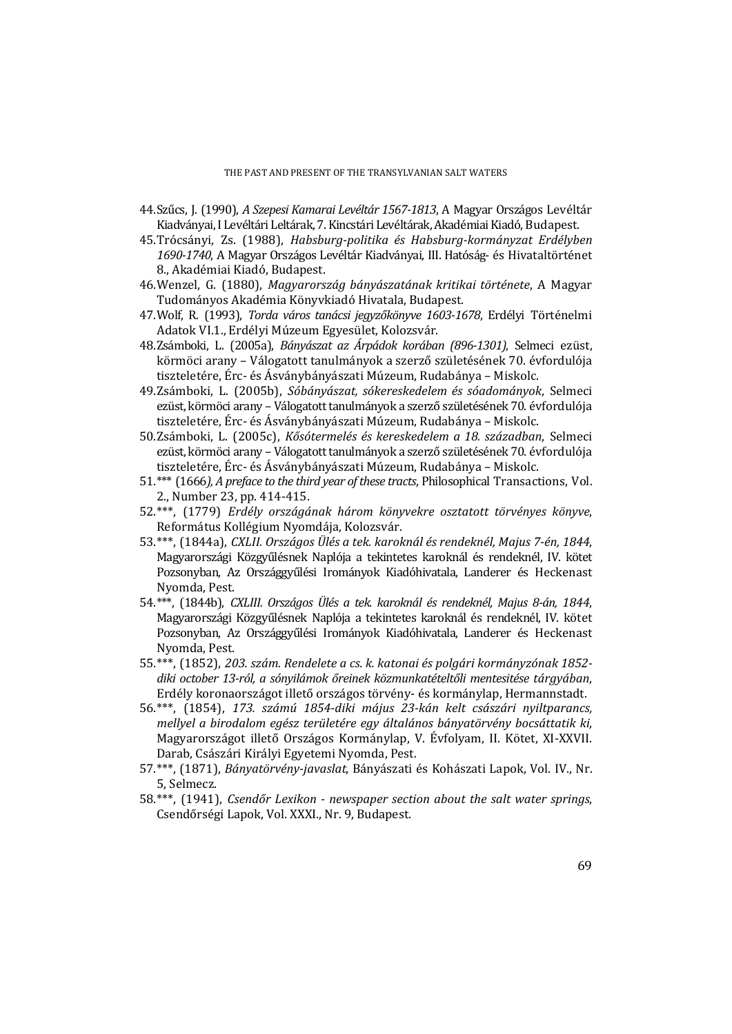#### THE PAST AND PRESENT OF THE TRANSYLVANIAN SALT WATERS

- 44.Szűcs, J. (1990), *A Szepesi Kamarai Levéltár 1567‐1813*, A Magyar Országos Levéltár Kiadványai, I Levéltári Leltárak, 7. Kincstári Levéltárak, Akadémiai Kiadó, Budapest.
- 45.Trócsányi, Zs. (1988), *Habsburg‐politika és Habsburg‐kormányzat Erdélyben 1690‐1740*, A Magyar Országos Levéltár Kiadványai, III. Hatóság‐ és Hivataltörténet 8., Akadémiai Kiadó, Budapest.
- 46.Wenzel, G. (1880), *Magyarország bányászatának kritikai története*, A Magyar Tudományos Akadémia Könyvkiadó Hivatala, Budapest.
- 47.Wolf, R. (1993), *Torda város tanácsi jegyzőkönyve 1603‐1678*, Erdélyi Történelmi Adatok VI.1., Erdélyi Múzeum Egyesület, Kolozsvár.
- 48.Zsámboki, L. (2005a), *Bányászat az Árpádok korában (896‐1301)*, Selmeci ezüst, körmöci arany – Válogatott tanulmányok a szerző születésének 70. évfordulója tiszteletére, Érc- és Ásványbányászati Múzeum, Rudabánya – Miskolc.
- 49.Zsámboki, L. (2005b), *Sóbányászat, sókereskedelem és sóadományok*, Selmeci ezüst, körmöci arany – Válogatott tanulmányok a szerző születésének 70. évfordulója tiszteletére, Érc- és Ásványbányászati Múzeum, Rudabánya – Miskolc.
- 50.Zsámboki, L. (2005c), *Kősótermelés és kereskedelem a 18. században*, Selmeci ezüst, körmöci arany – Válogatott tanulmányok a szerző születésének 70. évfordulója tiszteletére, Érc- és Ásványbányászati Múzeum, Rudabánya – Miskolc.
- 51.\*\*\* (1666*), A preface to the third year ofthese tracts*, Philosophical Transactions, Vol. 2., Number 23, pp. 414-415.
- 52.\*\*\*, (1779) *Erdély országának három könyvekre osztatott törvényes könyve*, Református Kollégium Nyomdája, Kolozsvár.
- 53.\*\*\*, (1844a), *CXLII. Országos Ülés a tek. karoknál és rendeknél, Majus 7‐én, 1844*, Magyarországi Közgyűlésnek Naplója a tekintetes karoknál és rendeknél, IV. kötet Pozsonyban, Az Országgyűlési Irományok Kiadóhivatala, Landerer és Heckenast Nyomda, Pest.
- 54.\*\*\*, (1844b), *CXLIII. Országos Ülés a tek. karoknál és rendeknél, Majus 8‐án, 1844*, Magyarországi Közgyűlésnek Naplója a tekintetes karoknál és rendeknél, IV. kötet Pozsonyban, Az Országgyűlési Irományok Kiadóhivatala, Landerer és Heckenast Nyomda, Pest.
- 55.\*\*\*, (1852), *203. szám. Rendelete a cs. k. katonai és polgári kormányzónak 1852‐ diki october 13‐ról, a sónyilámok őreinek közmunkatételtőli mentesitése tárgyában*, Erdély koronaországot illető országos törvény- és kormánylap, Hermannstadt.
- 56.\*\*\*, (1854), *173. számú 1854‐diki május 23‐kán kelt császári nyiltparancs, mellyel a birodalom egész területére egy általános bányatörvény bocsáttatik ki*, Magyarországot illető Országos Kormánylap, V. Évfolyam, II. Kötet, XI‐XXVII. Darab, Császári Királyi Egyetemi Nyomda, Pest.
- 57.\*\*\*, (1871), *Bányatörvény-javaslat*, Bányászati és Kohászati Lapok, Vol. IV., Nr. 5, Selmecz.
- 58.\*\*\*, (1941), *Csendőr Lexikon ‐ newspaper section about the salt water springs*, Csendőrségi Lapok, Vol. XXXI., Nr. 9, Budapest.